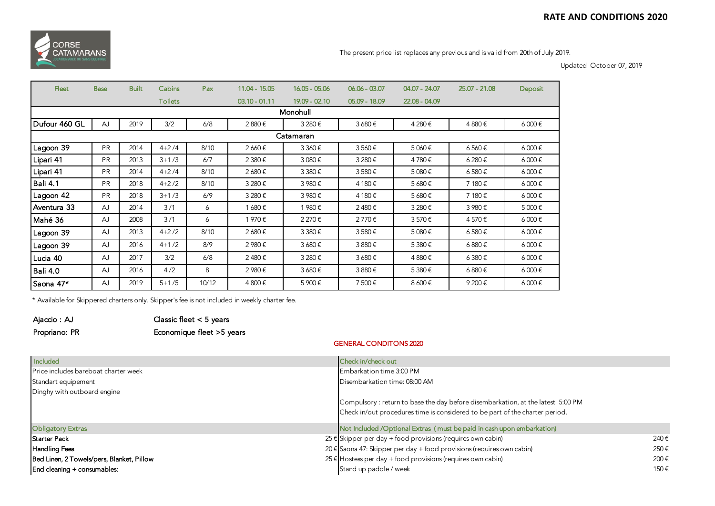

The present price list replaces any previous and is valid from 20th of July 2019.

Updated October 07, 2019

| <b>Fleet</b>    | <b>Base</b> | <b>Built</b> | Cabins         | Pax   | $11.04 - 15.05$ | $16.05 - 05.06$ | $06.06 - 03.07$ | $04.07 - 24.07$ | 25.07 - 21.08 | Deposit             |
|-----------------|-------------|--------------|----------------|-------|-----------------|-----------------|-----------------|-----------------|---------------|---------------------|
|                 |             |              | <b>Toilets</b> |       | $03.10 - 01.11$ | 19.09 - 02.10   | $05.09 - 18.09$ | 22.08 - 04.09   |               |                     |
| Monohull        |             |              |                |       |                 |                 |                 |                 |               |                     |
| Dufour 460 GL   | <b>AJ</b>   | 2019         | 3/2            | 6/8   | 2880€           | 3 280 €         | 3680€           | 4 280€          | 4880€         | $6000 \text{ } \in$ |
| Catamaran       |             |              |                |       |                 |                 |                 |                 |               |                     |
| Lagoon 39       | <b>PR</b>   | 2014         | $4 + 2/4$      | 8/10  | 2 660€          | 3 360€          | 3560€           | 5 060€          | 6560€         | $6000 \text{ } \in$ |
| Lipari 41       | <b>PR</b>   | 2013         | $3 + 1/3$      | 6/7   | 2 380€          | 3 080€          | 3 280€          | 4780€           | 6 280€        | $6000 \text{ } \in$ |
| Lipari 41       | <b>PR</b>   | 2014         | $4 + 2/4$      | 8/10  | 2 680€          | 3 380€          | 3580€           | 5 080€          | 6580€         | $6000 \text{ } \in$ |
| <b>Bali 4.1</b> | <b>PR</b>   | 2018         | $4 + 2/2$      | 8/10  | 3 280€          | 3 980€          | 4 180€          | 5680€           | 7 180€        | $6000 \text{ } \in$ |
| Lagoon 42       | <b>PR</b>   | 2018         | $3 + 1/3$      | 6/9   | 3 280€          | 3 980€          | 4 180 €         | 5 680€          | 7 180€        | $6000 \text{ } \in$ |
| Aventura 33     | AJ          | 2014         | 3/1            | 6     | 1 680€          | 1980€           | 2480€           | 3 280€          | 3 980€        | 5 000€              |
| Mahé 36         | AJ          | 2008         | 3/1            | 6     | 1970€           | 2 270€          | 2770€           | 3570€           | 4570€         | $6000 \text{ } \in$ |
| Lagoon 39       | AJ          | 2013         | $4 + 2/2$      | 8/10  | 2 680€          | 3 380€          | 3580€           | 5 080€          | 6580€         | $6000 \text{ } \in$ |
| Lagoon 39       | AJ          | 2016         | $4+1/2$        | 8/9   | 2 980€          | 3680€           | 3880€           | 5 380€          | 6880€         | $6000 \text{ } \in$ |
| Lucia 40        | AJ          | 2017         | 3/2            | 6/8   | 2480€           | 3 280€          | 3680€           | 4 880€          | 6 380€        | $6000 \text{ } \in$ |
| <b>Bali 4.0</b> | AJ          | 2016         | 4/2            | 8     | 2 980€          | 3680€           | 3880€           | 5 380€          | 6880€         | $6000 \text{ } \in$ |
| Saona 47*       | <b>AJ</b>   | 2019         | $5 + 1/5$      | 10/12 | 4 800€          | 5 900€          | 7500€           | 8 600€          | 9 200€        | $6000 \text{ } \in$ |

\* Available for Skippered charters only. Skipper's fee is not included in weekly charter fee.

| Ajaccio : AJ  | Classic fleet $< 5$ years |
|---------------|---------------------------|
| Propriano: PR | Economique fleet >5 years |

## GENERAL CONDITONS 2020

| <b>Included</b>                           | Check in/check out                                                              |
|-------------------------------------------|---------------------------------------------------------------------------------|
| Price includes bareboat charter week      | Embarkation time 3:00 PM                                                        |
| Standart equipement                       | Disembarkation time: 08:00 AM                                                   |
| Dinghy with outboard engine               |                                                                                 |
|                                           | Compulsory: return to base the day before disembarkation, at the latest 5:00 PM |
|                                           | Check in/out procedures time is considered to be part of the charter period.    |
| <b>Obligatory Extras</b>                  | Not Included /Optional Extras (must be paid in cash upon embarkation)           |
| Starter Pack                              | 25 € Skipper per day + food provisions (requires own cabin)<br>240€             |
| <b>Handling Fees</b>                      | 20 € Saona 47: Skipper per day + food provisions (requires own cabin)<br>250€   |
| Bed Linen, 2 Towels/pers, Blanket, Pillow | 25 € Hostess per day + food provisions (requires own cabin)<br>200€             |
| End cleaning + consumables:               | Stand up paddle / week<br>150€                                                  |